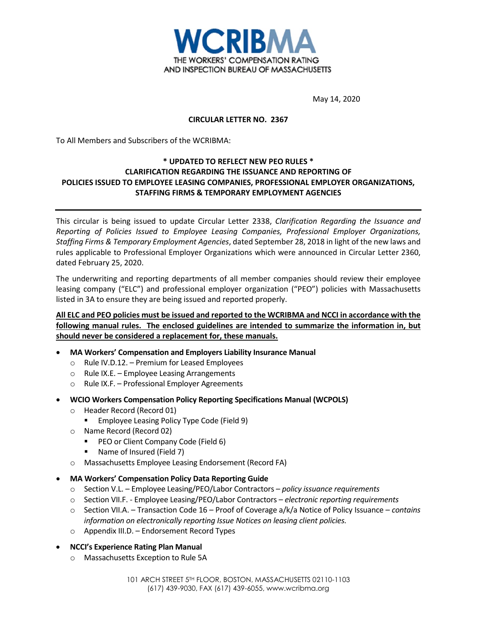

May 14, 2020

### **CIRCULAR LETTER NO. 2367**

To All Members and Subscribers of the WCRIBMA:

## **\* UPDATED TO REFLECT NEW PEO RULES \* CLARIFICATION REGARDING THE ISSUANCE AND REPORTING OF POLICIES ISSUED TO EMPLOYEE LEASING COMPANIES, PROFESSIONAL EMPLOYER ORGANIZATIONS, STAFFING FIRMS & TEMPORARY EMPLOYMENT AGENCIES**

This circular is being issued to update Circular Letter 2338, *Clarification Regarding the Issuance and Reporting of Policies Issued to Employee Leasing Companies, Professional Employer Organizations, Staffing Firms & Temporary Employment Agencies*, dated September 28, 2018 in light of the new laws and rules applicable to Professional Employer Organizations which were announced in Circular Letter 2360, dated February 25, 2020.

The underwriting and reporting departments of all member companies should review their employee leasing company ("ELC") and professional employer organization ("PEO") policies with Massachusetts listed in 3A to ensure they are being issued and reported properly.

# **All ELC and PEO policies must be issued and reported to the WCRIBMA and NCCI in accordance with the following manual rules. The enclosed guidelines are intended to summarize the information in, but should never be considered a replacement for, these manuals.**

- **MA Workers' Compensation and Employers Liability Insurance Manual**
	- o Rule IV.D.12. Premium for Leased Employees
	- o Rule IX.E. Employee Leasing Arrangements
	- o Rule IX.F. Professional Employer Agreements
- **WCIO Workers Compensation Policy Reporting Specifications Manual (WCPOLS)**
	- o Header Record (Record 01)
		- **Employee Leasing Policy Type Code (Field 9)**
	- o Name Record (Record 02)
		- **PEO or Client Company Code (Field 6)**
		- Name of Insured (Field 7)
	- o Massachusetts Employee Leasing Endorsement (Record FA)
- **MA Workers' Compensation Policy Data Reporting Guide**
	- o Section V.L. Employee Leasing/PEO/Labor Contractors *policy issuance requirements*
	- o Section VII.F. Employee Leasing/PEO/Labor Contractors *electronic reporting requirements*
	- o Section VII.A. Transaction Code 16 Proof of Coverage a/k/a Notice of Policy Issuance *contains information on electronically reporting Issue Notices on leasing client policies.*
	- o Appendix III.D. Endorsement Record Types

### • **NCCI's Experience Rating Plan Manual**

o Massachusetts Exception to Rule 5A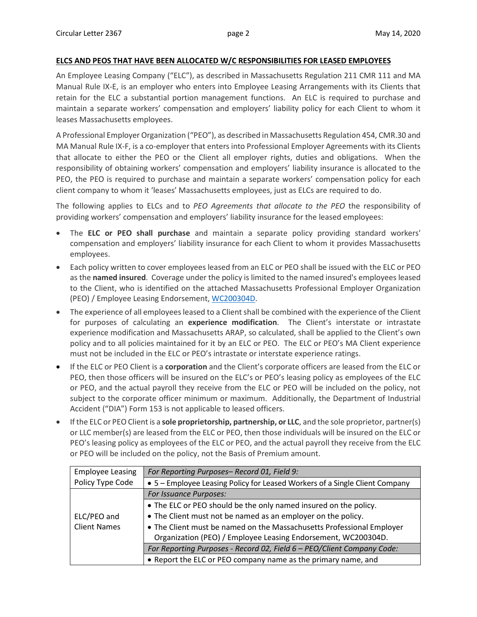### **ELCS AND PEOS THAT HAVE BEEN ALLOCATED W/C RESPONSIBILITIES FOR LEASED EMPLOYEES**

An Employee Leasing Company ("ELC"), as described in Massachusetts Regulation 211 CMR 111 and MA Manual Rule IX-E, is an employer who enters into Employee Leasing Arrangements with its Clients that retain for the ELC a substantial portion management functions. An ELC is required to purchase and maintain a separate workers' compensation and employers' liability policy for each Client to whom it leases Massachusetts employees.

A Professional Employer Organization ("PEO"), as described in Massachusetts Regulation 454, CMR.30 and MA Manual Rule IX-F, is a co-employer that enters into Professional Employer Agreements with its Clients that allocate to either the PEO or the Client all employer rights, duties and obligations. When the responsibility of obtaining workers' compensation and employers' liability insurance is allocated to the PEO, the PEO is required to purchase and maintain a separate workers' compensation policy for each client company to whom it 'leases' Massachusetts employees, just as ELCs are required to do.

The following applies to ELCs and to *PEO Agreements that allocate to the PEO* the responsibility of providing workers' compensation and employers' liability insurance for the leased employees:

- The **ELC or PEO shall purchase** and maintain a separate policy providing standard workers' compensation and employers' liability insurance for each Client to whom it provides Massachusetts employees.
- Each policy written to cover employees leased from an ELC or PEO shall be issued with the ELC or PEO as the **named insured**. Coverage under the policy is limited to the named insured's employees leased to the Client, who is identified on the attached Massachusetts Professional Employer Organization (PEO) / Employee Leasing Endorsement, [WC200304D.](https://www.wcribma.org/mass/ToolsandServices/UnderwritingToolsandForms/Manuals/FormsEndorsements/WC200304D.pdf)
- The experience of all employees leased to a Client shall be combined with the experience of the Client for purposes of calculating an **experience modification**. The Client's interstate or intrastate experience modification and Massachusetts ARAP, so calculated, shall be applied to the Client's own policy and to all policies maintained for it by an ELC or PEO. The ELC or PEO's MA Client experience must not be included in the ELC or PEO's intrastate or interstate experience ratings.
- If the ELC or PEO Client is a **corporation** and the Client's corporate officers are leased from the ELC or PEO, then those officers will be insured on the ELC's or PEO's leasing policy as employees of the ELC or PEO, and the actual payroll they receive from the ELC or PEO will be included on the policy, not subject to the corporate officer minimum or maximum. Additionally, the Department of Industrial Accident ("DIA") Form 153 is not applicable to leased officers.
- If the ELC or PEO Client is a **sole proprietorship, partnership, or LLC**, and the sole proprietor, partner(s) or LLC member(s) are leased from the ELC or PEO, then those individuals will be insured on the ELC or PEO's leasing policy as employees of the ELC or PEO, and the actual payroll they receive from the ELC or PEO will be included on the policy, not the Basis of Premium amount.

| <b>Employee Leasing</b> | For Reporting Purposes-Record 01, Field 9:                                  |
|-------------------------|-----------------------------------------------------------------------------|
| Policy Type Code        | • 5 – Employee Leasing Policy for Leased Workers of a Single Client Company |
|                         | For Issuance Purposes:                                                      |
|                         | • The ELC or PEO should be the only named insured on the policy.            |
| ELC/PEO and             | • The Client must not be named as an employer on the policy.                |
| <b>Client Names</b>     | • The Client must be named on the Massachusetts Professional Employer       |
|                         | Organization (PEO) / Employee Leasing Endorsement, WC200304D.               |
|                         | For Reporting Purposes - Record 02, Field 6 - PEO/Client Company Code:      |
|                         | • Report the ELC or PEO company name as the primary name, and               |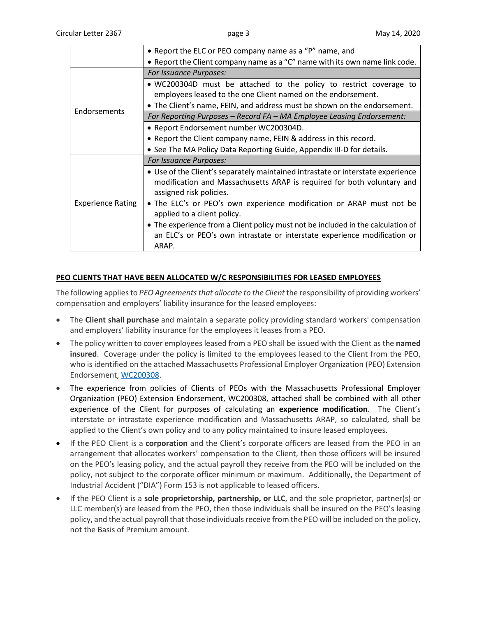|                          | • Report the ELC or PEO company name as a "P" name, and                                                                                                                              |
|--------------------------|--------------------------------------------------------------------------------------------------------------------------------------------------------------------------------------|
|                          | • Report the Client company name as a "C" name with its own name link code.                                                                                                          |
|                          | <b>For Issuance Purposes:</b>                                                                                                                                                        |
|                          | • WC200304D must be attached to the policy to restrict coverage to<br>employees leased to the one Client named on the endorsement.                                                   |
| Endorsements             | • The Client's name, FEIN, and address must be shown on the endorsement.                                                                                                             |
|                          | For Reporting Purposes – Record FA – MA Employee Leasing Endorsement:                                                                                                                |
|                          | • Report Endorsement number WC200304D.                                                                                                                                               |
|                          | • Report the Client company name, FEIN & address in this record.                                                                                                                     |
|                          | • See The MA Policy Data Reporting Guide, Appendix III-D for details.                                                                                                                |
| <b>Experience Rating</b> | <b>For Issuance Purposes:</b>                                                                                                                                                        |
|                          | • Use of the Client's separately maintained intrastate or interstate experience<br>modification and Massachusetts ARAP is required for both voluntary and<br>assigned risk policies. |
|                          | • The ELC's or PEO's own experience modification or ARAP must not be<br>applied to a client policy.                                                                                  |
|                          | • The experience from a Client policy must not be included in the calculation of<br>an ELC's or PEO's own intrastate or interstate experience modification or<br>ARAP.               |

### **PEO CLIENTS THAT HAVE BEEN ALLOCATED W/C RESPONSIBILITIES FOR LEASED EMPLOYEES**

The following applies to *PEO Agreements that allocate to the Client* the responsibility of providing workers' compensation and employers' liability insurance for the leased employees:

- The **Client shall purchase** and maintain a separate policy providing standard workers' compensation and employers' liability insurance for the employees it leases from a PEO.
- The policy written to cover employees leased from a PEO shall be issued with the Client as the **named insured**. Coverage under the policy is limited to the employees leased to the Client from the PEO, who is identified on the attached Massachusetts Professional Employer Organization (PEO) Extension Endorsement, [WC200308.](https://www.wcribma.org/mass/ToolsandServices/UnderwritingToolsandForms/Manuals/FormsEndorsements/WC200308.pdf)
- The experience from policies of Clients of PEOs with the Massachusetts Professional Employer Organization (PEO) Extension Endorsement, WC200308, attached shall be combined with all other experience of the Client for purposes of calculating an **experience modification**. The Client's interstate or intrastate experience modification and Massachusetts ARAP, so calculated, shall be applied to the Client's own policy and to any policy maintained to insure leased employees.
- If the PEO Client is a **corporation** and the Client's corporate officers are leased from the PEO in an arrangement that allocates workers' compensation to the Client, then those officers will be insured on the PEO's leasing policy, and the actual payroll they receive from the PEO will be included on the policy, not subject to the corporate officer minimum or maximum. Additionally, the Department of Industrial Accident ("DIA") Form 153 is not applicable to leased officers.
- If the PEO Client is a **sole proprietorship, partnership, or LLC**, and the sole proprietor, partner(s) or LLC member(s) are leased from the PEO, then those individuals shall be insured on the PEO's leasing policy, and the actual payroll that those individualsreceive from the PEO will be included on the policy, not the Basis of Premium amount.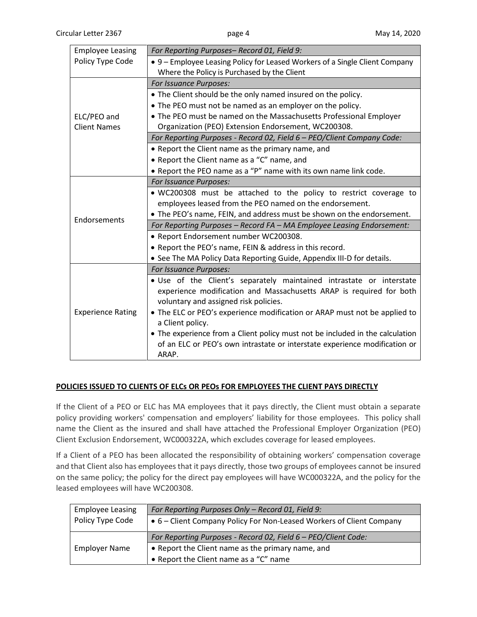| <b>Employee Leasing</b>  | For Reporting Purposes-Record 01, Field 9:                                                                                                                                                                                                                                            |
|--------------------------|---------------------------------------------------------------------------------------------------------------------------------------------------------------------------------------------------------------------------------------------------------------------------------------|
| Policy Type Code         | • 9 – Employee Leasing Policy for Leased Workers of a Single Client Company                                                                                                                                                                                                           |
|                          | Where the Policy is Purchased by the Client                                                                                                                                                                                                                                           |
|                          | For Issuance Purposes:                                                                                                                                                                                                                                                                |
|                          | • The Client should be the only named insured on the policy.                                                                                                                                                                                                                          |
|                          | • The PEO must not be named as an employer on the policy.                                                                                                                                                                                                                             |
| ELC/PEO and              | • The PEO must be named on the Massachusetts Professional Employer                                                                                                                                                                                                                    |
| <b>Client Names</b>      | Organization (PEO) Extension Endorsement, WC200308.                                                                                                                                                                                                                                   |
|                          | For Reporting Purposes - Record 02, Field 6 - PEO/Client Company Code:                                                                                                                                                                                                                |
|                          | • Report the Client name as the primary name, and                                                                                                                                                                                                                                     |
|                          | • Report the Client name as a "C" name, and                                                                                                                                                                                                                                           |
|                          | • Report the PEO name as a "P" name with its own name link code.                                                                                                                                                                                                                      |
|                          | For Issuance Purposes:                                                                                                                                                                                                                                                                |
|                          | . WC200308 must be attached to the policy to restrict coverage to                                                                                                                                                                                                                     |
|                          | employees leased from the PEO named on the endorsement.                                                                                                                                                                                                                               |
|                          | • The PEO's name, FEIN, and address must be shown on the endorsement.                                                                                                                                                                                                                 |
| Endorsements             | For Reporting Purposes - Record FA - MA Employee Leasing Endorsement:                                                                                                                                                                                                                 |
|                          | • Report Endorsement number WC200308.                                                                                                                                                                                                                                                 |
|                          | • Report the PEO's name, FEIN & address in this record.                                                                                                                                                                                                                               |
|                          | • See The MA Policy Data Reporting Guide, Appendix III-D for details.                                                                                                                                                                                                                 |
| <b>Experience Rating</b> | For Issuance Purposes:                                                                                                                                                                                                                                                                |
|                          | . Use of the Client's separately maintained intrastate or interstate<br>experience modification and Massachusetts ARAP is required for both<br>voluntary and assigned risk policies.<br>• The ELC or PEO's experience modification or ARAP must not be applied to<br>a Client policy. |
|                          | • The experience from a Client policy must not be included in the calculation<br>of an ELC or PEO's own intrastate or interstate experience modification or<br>ARAP.                                                                                                                  |

### **POLICIES ISSUED TO CLIENTS OF ELCs OR PEOs FOR EMPLOYEES THE CLIENT PAYS DIRECTLY**

If the Client of a PEO or ELC has MA employees that it pays directly, the Client must obtain a separate policy providing workers' compensation and employers' liability for those employees. This policy shall name the Client as the insured and shall have attached the Professional Employer Organization (PEO) Client Exclusion Endorsement, WC000322A, which excludes coverage for leased employees.

If a Client of a PEO has been allocated the responsibility of obtaining workers' compensation coverage and that Client also has employees that it pays directly, those two groups of employees cannot be insured on the same policy; the policy for the direct pay employees will have WC000322A, and the policy for the leased employees will have WC200308.

| <b>Employee Leasing</b> | For Reporting Purposes Only - Record 01, Field 9:                    |
|-------------------------|----------------------------------------------------------------------|
| Policy Type Code        | • 6 – Client Company Policy For Non-Leased Workers of Client Company |
| <b>Employer Name</b>    | For Reporting Purposes - Record 02, Field 6 - PEO/Client Code:       |
|                         | • Report the Client name as the primary name, and                    |
|                         | • Report the Client name as a "C" name                               |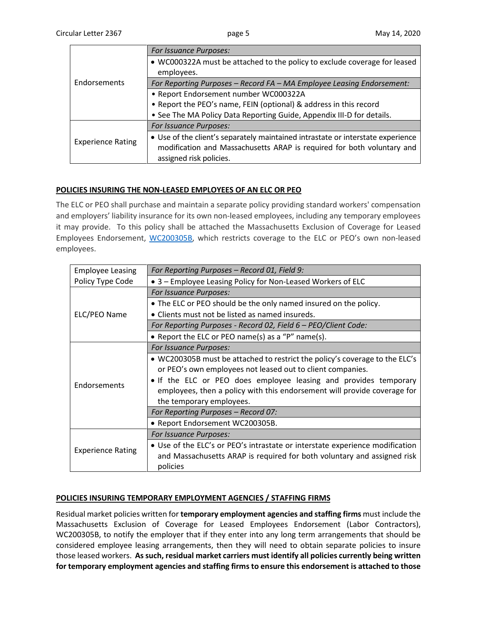| <b>Endorsements</b>      | For Issuance Purposes:                                                          |
|--------------------------|---------------------------------------------------------------------------------|
|                          | • WC000322A must be attached to the policy to exclude coverage for leased       |
|                          | employees.                                                                      |
|                          | For Reporting Purposes - Record FA - MA Employee Leasing Endorsement:           |
|                          | • Report Endorsement number WC000322A                                           |
|                          | • Report the PEO's name, FEIN (optional) & address in this record               |
|                          | . See The MA Policy Data Reporting Guide, Appendix III-D for details.           |
| <b>Experience Rating</b> | For Issuance Purposes:                                                          |
|                          | • Use of the client's separately maintained intrastate or interstate experience |
|                          | modification and Massachusetts ARAP is required for both voluntary and          |
|                          | assigned risk policies.                                                         |

# **POLICIES INSURING THE NON-LEASED EMPLOYEES OF AN ELC OR PEO**

The ELC or PEO shall purchase and maintain a separate policy providing standard workers' compensation and employers' liability insurance for its own non-leased employees, including any temporary employees it may provide. To this policy shall be attached the Massachusetts Exclusion of Coverage for Leased Employees Endorsement, [WC200305B,](https://www.wcribma.org/mass/ToolsandServices/UnderwritingToolsandForms/Manuals/FormsEndorsements/WC200305B.pdf) which restricts coverage to the ELC or PEO's own non-leased employees.

| <b>Employee Leasing</b>  | For Reporting Purposes - Record 01, Field 9:                                                                                                                                                                                                                                                                          |
|--------------------------|-----------------------------------------------------------------------------------------------------------------------------------------------------------------------------------------------------------------------------------------------------------------------------------------------------------------------|
| Policy Type Code         | • 3 – Employee Leasing Policy for Non-Leased Workers of ELC                                                                                                                                                                                                                                                           |
| ELC/PEO Name             | For Issuance Purposes:                                                                                                                                                                                                                                                                                                |
|                          | . The ELC or PEO should be the only named insured on the policy.                                                                                                                                                                                                                                                      |
|                          | • Clients must not be listed as named insureds.                                                                                                                                                                                                                                                                       |
|                          | For Reporting Purposes - Record 02, Field 6 - PEO/Client Code:                                                                                                                                                                                                                                                        |
|                          | • Report the ELC or PEO name(s) as a "P" name(s).                                                                                                                                                                                                                                                                     |
|                          | For Issuance Purposes:                                                                                                                                                                                                                                                                                                |
| Endorsements             | • WC200305B must be attached to restrict the policy's coverage to the ELC's<br>or PEO's own employees not leased out to client companies.<br>• If the ELC or PEO does employee leasing and provides temporary<br>employees, then a policy with this endorsement will provide coverage for<br>the temporary employees. |
|                          | For Reporting Purposes - Record 07:                                                                                                                                                                                                                                                                                   |
|                          | • Report Endorsement WC200305B.                                                                                                                                                                                                                                                                                       |
| <b>Experience Rating</b> | For Issuance Purposes:                                                                                                                                                                                                                                                                                                |
|                          | • Use of the ELC's or PEO's intrastate or interstate experience modification<br>and Massachusetts ARAP is required for both voluntary and assigned risk<br>policies                                                                                                                                                   |

### **POLICIES INSURING TEMPORARY EMPLOYMENT AGENCIES / STAFFING FIRMS**

Residual market policies written for **temporary employment agencies and staffing firms** must include the Massachusetts Exclusion of Coverage for Leased Employees Endorsement (Labor Contractors), WC200305B, to notify the employer that if they enter into any long term arrangements that should be considered employee leasing arrangements, then they will need to obtain separate policies to insure those leased workers. **As such, residual market carriers must identify all policies currently being written for temporary employment agencies and staffing firms to ensure this endorsement is attached to those**